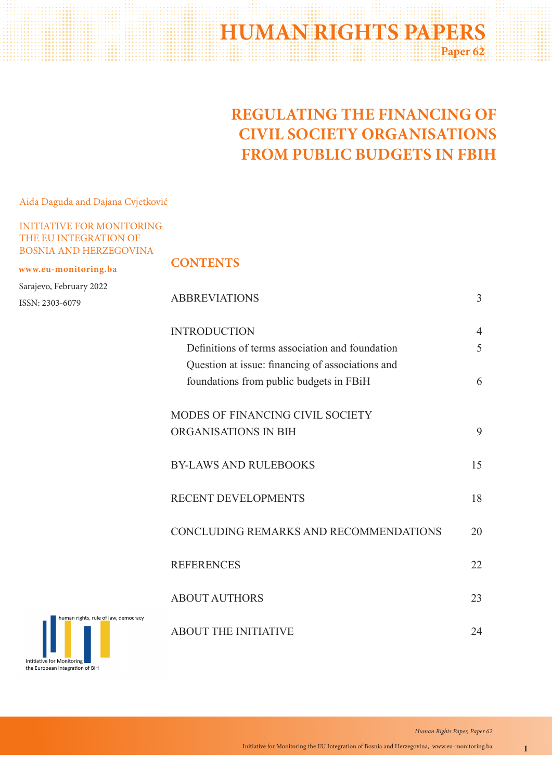# **HUMAN RIGHTS PAPERS Paper 62**

# **REGULATING THE FINANCING OF CIVIL SOCIETY ORGANISATIONS FROM PUBLIC BUDGETS IN FBIH**

Aida Daguda and Dajana Cvjetković

## INITIATIVE FOR MONITORING THE EU INTEGRATION OF BOSNIA AND HERZEGOVINA

#### **www.eu-monitoring.ba**

Sarajevo, February 2022 ISSN: 2303-6079

## **CONTENTS**

|                          | <b>ABBREVIATIONS</b>                             | 3  |
|--------------------------|--------------------------------------------------|----|
|                          | <b>INTRODUCTION</b>                              | 4  |
|                          | Definitions of terms association and foundation  | 5  |
|                          | Question at issue: financing of associations and |    |
|                          | foundations from public budgets in FBiH          | 6  |
|                          | MODES OF FINANCING CIVIL SOCIETY                 |    |
|                          | ORGANISATIONS IN BIH                             | 9  |
|                          | <b>BY-LAWS AND RULEBOOKS</b>                     | 15 |
|                          | <b>RECENT DEVELOPMENTS</b>                       | 18 |
|                          | CONCLUDING REMARKS AND RECOMMENDATIONS           | 20 |
|                          | <b>REFERENCES</b>                                | 22 |
|                          | <b>ABOUT AUTHORS</b>                             | 23 |
| , rule of law, democracy | <b>ABOUT THE INITIATIVE</b>                      | 24 |

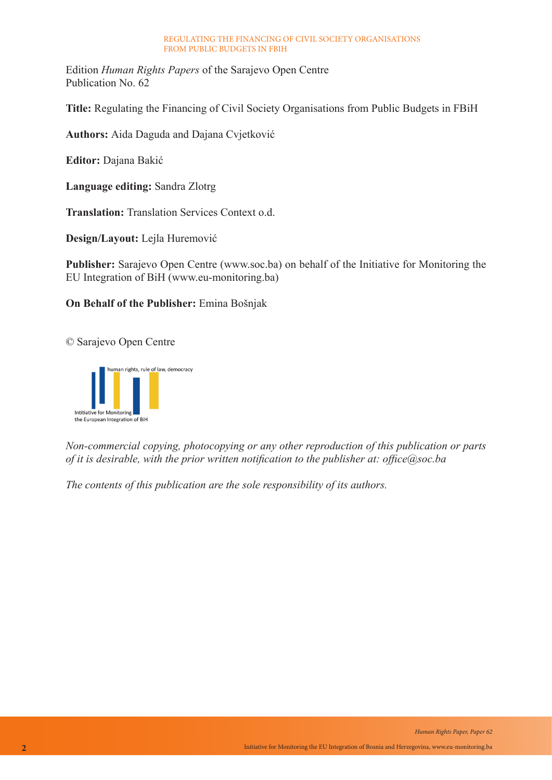Edition *Human Rights Papers* of the Sarajevo Open Centre Publication No. 62

**Title:** Regulating the Financing of Civil Society Organisations from Public Budgets in FBiH

**Authors:** Aida Daguda and Dajana Cvjetković

**Editor:** Dajana Bakić

**Language editing:** Sandra Zlotrg

**Translation:** Translation Services Context o.d.

**Design/Layout:** Lejla Huremović

**Publisher:** Sarajevo Open Centre (www.soc.ba) on behalf of the Initiative for Monitoring the EU Integration of BiH (www.eu-monitoring.ba)

## **On Behalf of the Publisher:** Emina Bošnjak

© Sarajevo Open Centre



*Non-commercial copying, photocopying or any other reproduction of this publication or parts of it is desirable, with the prior written notification to the publisher at: office@soc.ba*

*The contents of this publication are the sole responsibility of its authors.*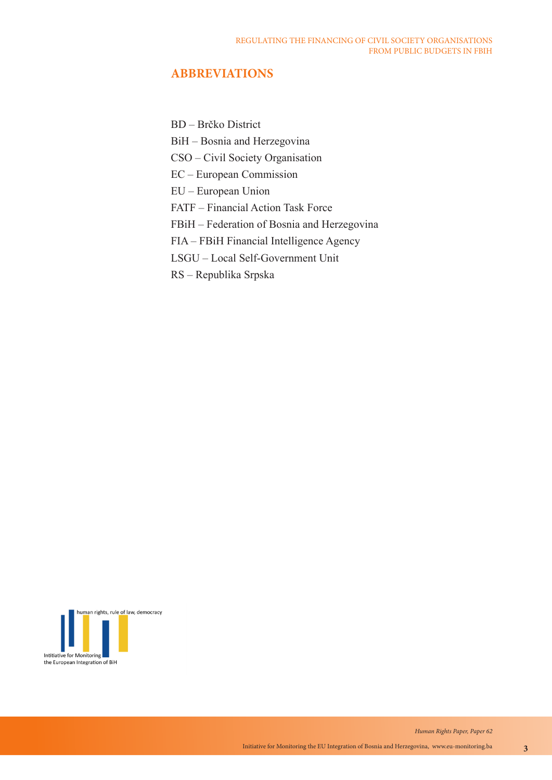## **ABBREVIATIONS**

BD – Brčko District

BiH – Bosnia and Herzegovina

CSO – Civil Society Organisation

EC – European Commission

EU – European Union

FATF – Financial Action Task Force

FBiH – Federation of Bosnia and Herzegovina

FIA – FBiH Financial Intelligence Agency

LSGU – Local Self-Government Unit

RS – Republika Srpska

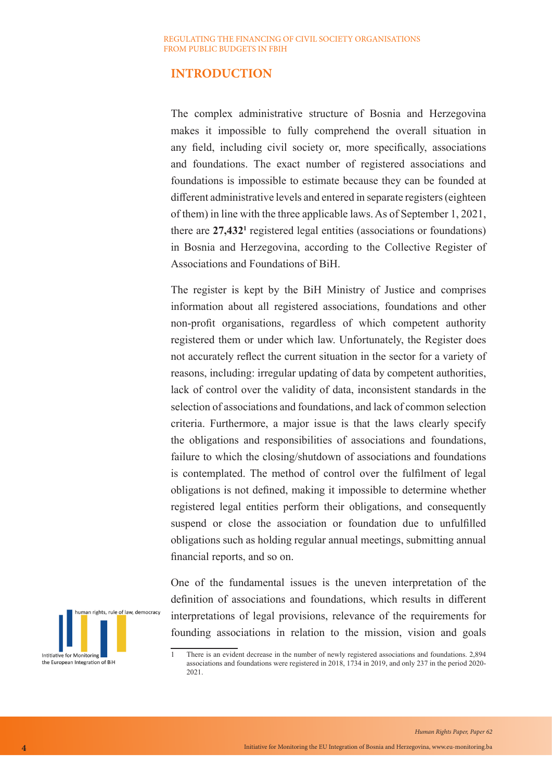## **INTRODUCTION**

The complex administrative structure of Bosnia and Herzegovina makes it impossible to fully comprehend the overall situation in any field, including civil society or, more specifically, associations and foundations. The exact number of registered associations and foundations is impossible to estimate because they can be founded at different administrative levels and entered in separate registers (eighteen of them) in line with the three applicable laws. As of September 1, 2021, there are 27,432<sup>1</sup> registered legal entities (associations or foundations) in Bosnia and Herzegovina, according to the Collective Register of Associations and Foundations of BiH.

The register is kept by the BiH Ministry of Justice and comprises information about all registered associations, foundations and other non-profit organisations, regardless of which competent authority registered them or under which law. Unfortunately, the Register does not accurately reflect the current situation in the sector for a variety of reasons, including: irregular updating of data by competent authorities, lack of control over the validity of data, inconsistent standards in the selection of associations and foundations, and lack of common selection criteria. Furthermore, a major issue is that the laws clearly specify the obligations and responsibilities of associations and foundations, failure to which the closing/shutdown of associations and foundations is contemplated. The method of control over the fulfilment of legal obligations is not defined, making it impossible to determine whether registered legal entities perform their obligations, and consequently suspend or close the association or foundation due to unfulfilled obligations such as holding regular annual meetings, submitting annual financial reports, and so on.

human rights, rule of law, democracy Intitiative for Monitoring the European Integration of BiH

One of the fundamental issues is the uneven interpretation of the definition of associations and foundations, which results in different interpretations of legal provisions, relevance of the requirements for founding associations in relation to the mission, vision and goals

<sup>1</sup> There is an evident decrease in the number of newly registered associations and foundations. 2,894 associations and foundations were registered in 2018, 1734 in 2019, and only 237 in the period 2020- 2021.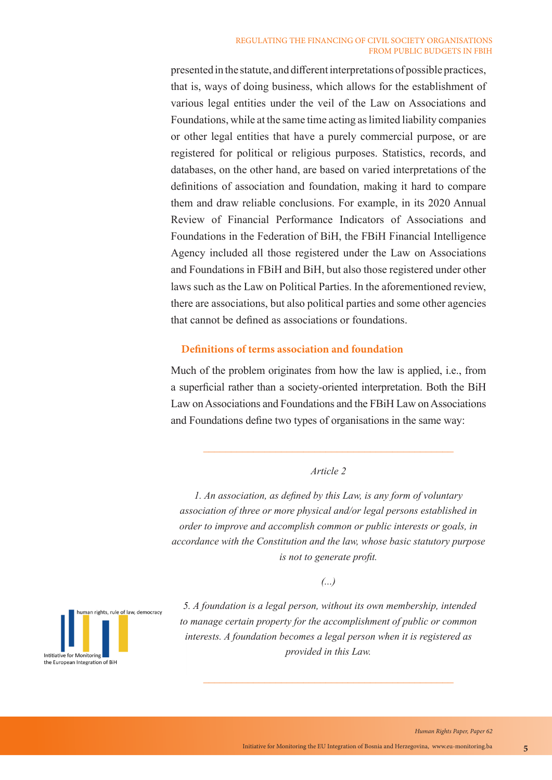presented in the statute, and different interpretations of possible practices, that is, ways of doing business, which allows for the establishment of various legal entities under the veil of the Law on Associations and Foundations, while at the same time acting as limited liability companies or other legal entities that have a purely commercial purpose, or are registered for political or religious purposes. Statistics, records, and databases, on the other hand, are based on varied interpretations of the definitions of association and foundation, making it hard to compare them and draw reliable conclusions. For example, in its 2020 Annual Review of Financial Performance Indicators of Associations and Foundations in the Federation of BiH, the FBiH Financial Intelligence Agency included all those registered under the Law on Associations and Foundations in FBiH and BiH, but also those registered under other laws such as the Law on Political Parties. In the aforementioned review, there are associations, but also political parties and some other agencies that cannot be defined as associations or foundations.

### **Definitions of terms association and foundation**

Much of the problem originates from how the law is applied, i.e., from a superficial rather than a society-oriented interpretation. Both the BiH Law on Associations and Foundations and the FBiH Law on Associations and Foundations define two types of organisations in the same way:

#### *Article 2*

*1. An association, as defined by this Law, is any form of voluntary association of three or more physical and/or legal persons established in order to improve and accomplish common or public interests or goals, in accordance with the Constitution and the law, whose basic statutory purpose is not to generate profit.*

*(...)*

 *5. A foundation is a legal person, without its own membership, intended to manage certain property for the accomplishment of public or common interests. A foundation becomes a legal person when it is registered as provided in this Law.*

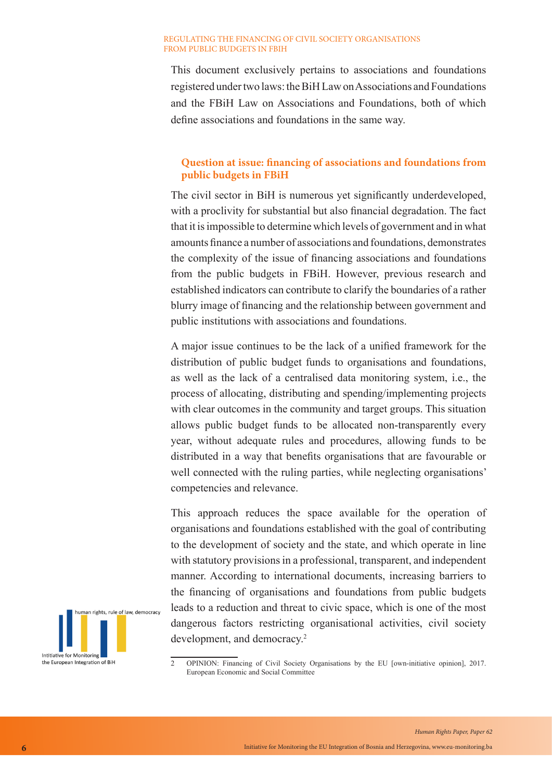This document exclusively pertains to associations and foundations registered under two laws: the BiH Law on Associations and Foundations and the FBiH Law on Associations and Foundations, both of which define associations and foundations in the same way.

## **Question at issue: financing of associations and foundations from public budgets in FBiH**

The civil sector in BiH is numerous yet significantly underdeveloped, with a proclivity for substantial but also financial degradation. The fact that it is impossible to determine which levels of government and in what amounts finance a number of associations and foundations, demonstrates the complexity of the issue of financing associations and foundations from the public budgets in FBiH. However, previous research and established indicators can contribute to clarify the boundaries of a rather blurry image of financing and the relationship between government and public institutions with associations and foundations.

A major issue continues to be the lack of a unified framework for the distribution of public budget funds to organisations and foundations, as well as the lack of a centralised data monitoring system, i.e., the process of allocating, distributing and spending/implementing projects with clear outcomes in the community and target groups. This situation allows public budget funds to be allocated non-transparently every year, without adequate rules and procedures, allowing funds to be distributed in a way that benefits organisations that are favourable or well connected with the ruling parties, while neglecting organisations' competencies and relevance.

This approach reduces the space available for the operation of organisations and foundations established with the goal of contributing to the development of society and the state, and which operate in line with statutory provisions in a professional, transparent, and independent manner. According to international documents, increasing barriers to the financing of organisations and foundations from public budgets leads to a reduction and threat to civic space, which is one of the most dangerous factors restricting organisational activities, civil society development, and democracy.<sup>2</sup>



<sup>2</sup> OPINION: Financing of Civil Society Organisations by the EU [own-initiative opinion], 2017. European Economic and Social Committee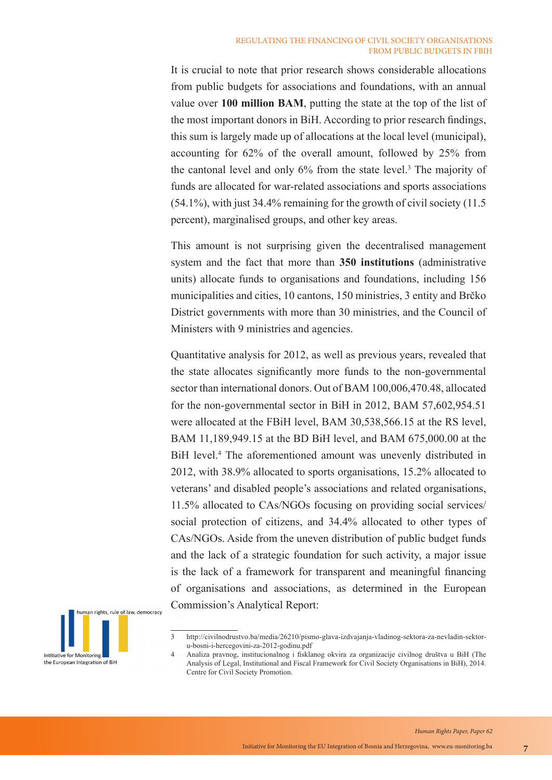It is crucial to note that prior research shows considerable allocations from public budgets for associations and foundations, with an annual value over **100 million BAM**, putting the state at the top of the list of the most important donors in BiH. According to prior research findings, this sum is largely made up of allocations at the local level (municipal), accounting for 62% of the overall amount, followed by 25% from the cantonal level and only 6% from the state level.<sup>3</sup> The majority of funds are allocated for war-related associations and sports associations (54.1%), with just 34.4% remaining for the growth of civil society (11.5 percent), marginalised groups, and other key areas.

This amount is not surprising given the decentralised management system and the fact that more than **350 institutions** (administrative units) allocate funds to organisations and foundations, including 156 municipalities and cities, 10 cantons, 150 ministries, 3 entity and Brčko District governments with more than 30 ministries, and the Council of Ministers with 9 ministries and agencies.

Quantitative analysis for 2012, as well as previous years, revealed that the state allocates significantly more funds to the non-governmental sector than international donors. Out of BAM 100,006,470.48, allocated for the non-governmental sector in BiH in 2012, BAM 57,602,954.51 were allocated at the FBiH level, BAM 30,538,566.15 at the RS level, BAM 11,189,949.15 at the BD BiH level, and BAM 675,000.00 at the BiH level.<sup>4</sup> The aforementioned amount was unevenly distributed in 2012, with 38.9% allocated to sports organisations, 15.2% allocated to veterans' and disabled people's associations and related organisations, 11.5% allocated to CAs/NGOs focusing on providing social services/ social protection of citizens, and 34.4% allocated to other types of CAs/NGOs. Aside from the uneven distribution of public budget funds and the lack of a strategic foundation for such activity, a major issue is the lack of a framework for transparent and meaningful financing of organisations and associations, as determined in the European Commission's Analytical Report:



<sup>3</sup> http://civilnodrustvo.ba/media/26210/pismo-glava-izdvajanja-vladinog-sektora-za-nevladin-sektoru-bosni-i-hercegovini-za-2012-godinu.pdf

<sup>4</sup> Analiza pravnog, institucionalnog i fisklanog okvira za organizacije civilnog društva u BiH (The Analysis of Legal, Institutional and Fiscal Framework for Civil Society Organisations in BiH), 2014. Centre for Civil Society Promotion.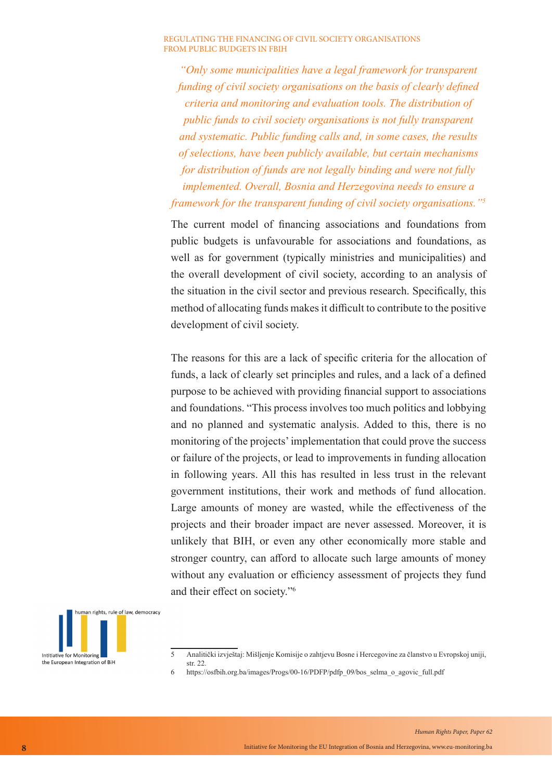*"Only some municipalities have a legal framework for transparent funding of civil society organisations on the basis of clearly defined criteria and monitoring and evaluation tools. The distribution of public funds to civil society organisations is not fully transparent and systematic. Public funding calls and, in some cases, the results of selections, have been publicly available, but certain mechanisms for distribution of funds are not legally binding and were not fully implemented. Overall, Bosnia and Herzegovina needs to ensure a framework for the transparent funding of civil society organisations."<sup>5</sup>*

The current model of financing associations and foundations from public budgets is unfavourable for associations and foundations, as well as for government (typically ministries and municipalities) and the overall development of civil society, according to an analysis of the situation in the civil sector and previous research. Specifically, this method of allocating funds makes it difficult to contribute to the positive development of civil society.

The reasons for this are a lack of specific criteria for the allocation of funds, a lack of clearly set principles and rules, and a lack of a defined purpose to be achieved with providing financial support to associations and foundations. "This process involves too much politics and lobbying and no planned and systematic analysis. Added to this, there is no monitoring of the projects' implementation that could prove the success or failure of the projects, or lead to improvements in funding allocation in following years. All this has resulted in less trust in the relevant government institutions, their work and methods of fund allocation. Large amounts of money are wasted, while the effectiveness of the projects and their broader impact are never assessed. Moreover, it is unlikely that BIH, or even any other economically more stable and stronger country, can afford to allocate such large amounts of money without any evaluation or efficiency assessment of projects they fund and their effect on society."6



<sup>5</sup> Analitički izvještaj: Mišljenje Komisije o zahtjevu Bosne i Hercegovine za članstvo u Evropskoj uniji, str. 22.

<sup>6</sup> https://osfbih.org.ba/images/Progs/00-16/PDFP/pdfp\_09/bos\_selma\_o\_agovic\_full.pdf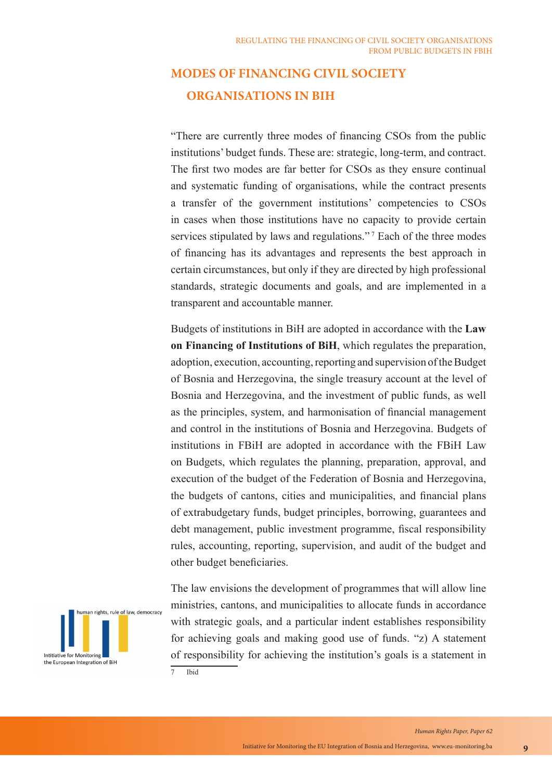## **MODES OF FINANCING CIVIL SOCIETY ORGANISATIONS IN BIH**

"There are currently three modes of financing CSOs from the public institutions' budget funds. These are: strategic, long-term, and contract. The first two modes are far better for CSOs as they ensure continual and systematic funding of organisations, while the contract presents a transfer of the government institutions' competencies to CSOs in cases when those institutions have no capacity to provide certain services stipulated by laws and regulations."<sup>7</sup> Each of the three modes of financing has its advantages and represents the best approach in certain circumstances, but only if they are directed by high professional standards, strategic documents and goals, and are implemented in a transparent and accountable manner.

Budgets of institutions in BiH are adopted in accordance with the **Law on Financing of Institutions of BiH**, which regulates the preparation, adoption, execution, accounting, reporting and supervision of the Budget of Bosnia and Herzegovina, the single treasury account at the level of Bosnia and Herzegovina, and the investment of public funds, as well as the principles, system, and harmonisation of financial management and control in the institutions of Bosnia and Herzegovina. Budgets of institutions in FBiH are adopted in accordance with the FBiH Law on Budgets, which regulates the planning, preparation, approval, and execution of the budget of the Federation of Bosnia and Herzegovina, the budgets of cantons, cities and municipalities, and financial plans of extrabudgetary funds, budget principles, borrowing, guarantees and debt management, public investment programme, fiscal responsibility rules, accounting, reporting, supervision, and audit of the budget and other budget beneficiaries.



The law envisions the development of programmes that will allow line ministries, cantons, and municipalities to allocate funds in accordance with strategic goals, and a particular indent establishes responsibility for achieving goals and making good use of funds. "z) A statement of responsibility for achieving the institution's goals is a statement in 7 Ibid

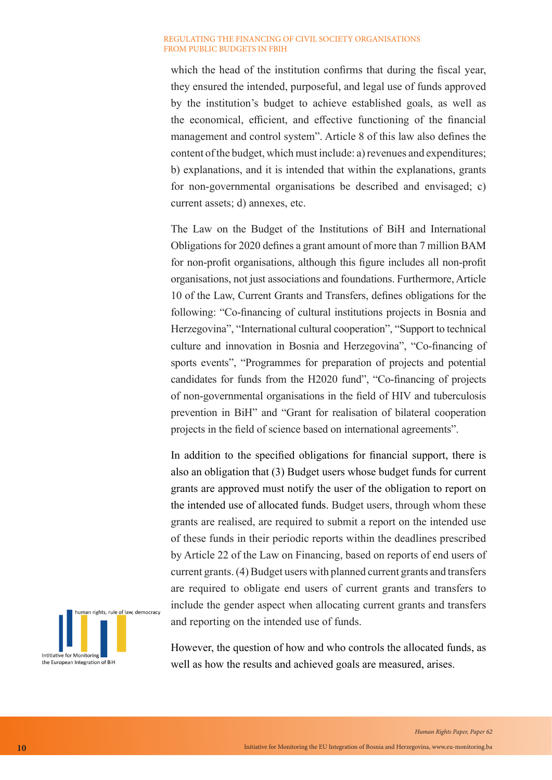which the head of the institution confirms that during the fiscal year, they ensured the intended, purposeful, and legal use of funds approved by the institution's budget to achieve established goals, as well as the economical, efficient, and effective functioning of the financial management and control system". Article 8 of this law also defines the content of the budget, which must include: a) revenues and expenditures; b) explanations, and it is intended that within the explanations, grants for non-governmental organisations be described and envisaged; c) current assets; d) annexes, etc.

The Law on the Budget of the Institutions of BiH and International Obligations for 2020 defines a grant amount of more than 7 million BAM for non-profit organisations, although this figure includes all non-profit organisations, not just associations and foundations. Furthermore, Article 10 of the Law, Current Grants and Transfers, defines obligations for the following: "Co-financing of cultural institutions projects in Bosnia and Herzegovina", "International cultural cooperation", "Support to technical culture and innovation in Bosnia and Herzegovina", "Co-financing of sports events", "Programmes for preparation of projects and potential candidates for funds from the H2020 fund", "Co-financing of projects of non-governmental organisations in the field of HIV and tuberculosis prevention in BiH" and "Grant for realisation of bilateral cooperation projects in the field of science based on international agreements".

In addition to the specified obligations for financial support, there is also an obligation that (3) Budget users whose budget funds for current grants are approved must notify the user of the obligation to report on the intended use of allocated funds. Budget users, through whom these grants are realised, are required to submit a report on the intended use of these funds in their periodic reports within the deadlines prescribed by Article 22 of the Law on Financing, based on reports of end users of current grants. (4) Budget users with planned current grants and transfers are required to obligate end users of current grants and transfers to include the gender aspect when allocating current grants and transfers and reporting on the intended use of funds.



However, the question of how and who controls the allocated funds, as well as how the results and achieved goals are measured, arises.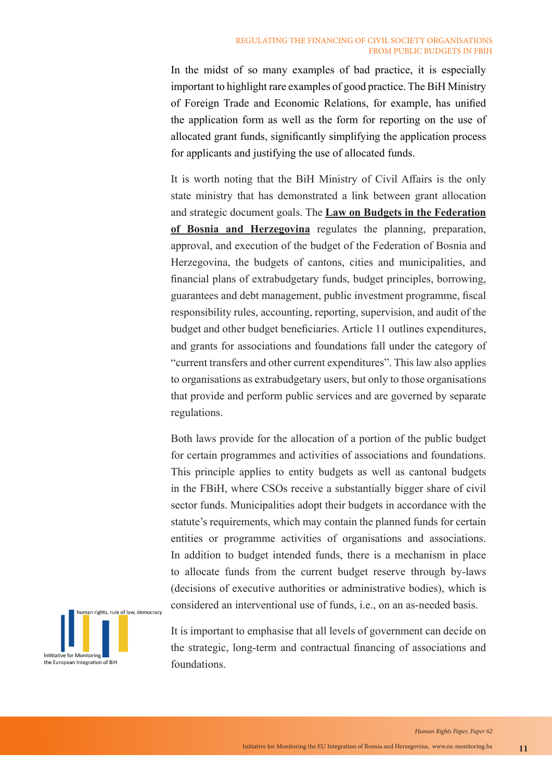In the midst of so many examples of bad practice, it is especially important to highlight rare examples of good practice. The BiH Ministry of Foreign Trade and Economic Relations, for example, has unified the application form as well as the form for reporting on the use of allocated grant funds, significantly simplifying the application process for applicants and justifying the use of allocated funds.

It is worth noting that the BiH Ministry of Civil Affairs is the only state ministry that has demonstrated a link between grant allocation and strategic document goals. The **Law on Budgets in the Federation of Bosnia and Herzegovina** regulates the planning, preparation, approval, and execution of the budget of the Federation of Bosnia and Herzegovina, the budgets of cantons, cities and municipalities, and financial plans of extrabudgetary funds, budget principles, borrowing, guarantees and debt management, public investment programme, fiscal responsibility rules, accounting, reporting, supervision, and audit of the budget and other budget beneficiaries. Article 11 outlines expenditures, and grants for associations and foundations fall under the category of "current transfers and other current expenditures". This law also applies to organisations as extrabudgetary users, but only to those organisations that provide and perform public services and are governed by separate regulations.

Both laws provide for the allocation of a portion of the public budget for certain programmes and activities of associations and foundations. This principle applies to entity budgets as well as cantonal budgets in the FBiH, where CSOs receive a substantially bigger share of civil sector funds. Municipalities adopt their budgets in accordance with the statute's requirements, which may contain the planned funds for certain entities or programme activities of organisations and associations. In addition to budget intended funds, there is a mechanism in place to allocate funds from the current budget reserve through by-laws (decisions of executive authorities or administrative bodies), which is considered an interventional use of funds, i.e., on an as-needed basis.



It is important to emphasise that all levels of government can decide on the strategic, long-term and contractual financing of associations and foundations.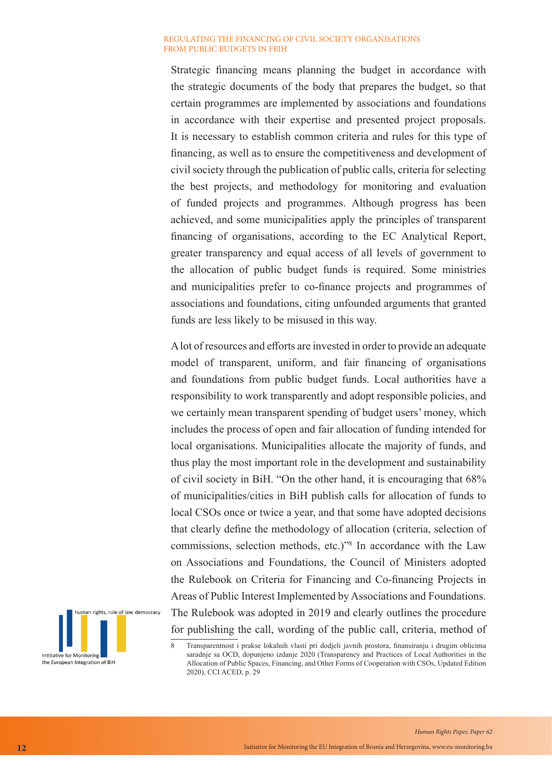Strategic financing means planning the budget in accordance with the strategic documents of the body that prepares the budget, so that certain programmes are implemented by associations and foundations in accordance with their expertise and presented project proposals. It is necessary to establish common criteria and rules for this type of financing, as well as to ensure the competitiveness and development of civil society through the publication of public calls, criteria for selecting the best projects, and methodology for monitoring and evaluation of funded projects and programmes. Although progress has been achieved, and some municipalities apply the principles of transparent financing of organisations, according to the EC Analytical Report, greater transparency and equal access of all levels of government to the allocation of public budget funds is required. Some ministries and municipalities prefer to co-finance projects and programmes of associations and foundations, citing unfounded arguments that granted funds are less likely to be misused in this way.

A lot of resources and efforts are invested in order to provide an adequate model of transparent, uniform, and fair financing of organisations and foundations from public budget funds. Local authorities have a responsibility to work transparently and adopt responsible policies, and we certainly mean transparent spending of budget users' money, which includes the process of open and fair allocation of funding intended for local organisations. Municipalities allocate the majority of funds, and thus play the most important role in the development and sustainability of civil society in BiH. "On the other hand, it is encouraging that 68% of municipalities/cities in BiH publish calls for allocation of funds to local CSOs once or twice a year, and that some have adopted decisions that clearly define the methodology of allocation (criteria, selection of commissions, selection methods, etc.)"8 In accordance with the Law on Associations and Foundations, the Council of Ministers adopted the Rulebook on Criteria for Financing and Co-financing Projects in Areas of Public Interest Implemented by Associations and Foundations. The Rulebook was adopted in 2019 and clearly outlines the procedure for publishing the call, wording of the public call, criteria, method of



<sup>8</sup> Transparentnost i prakse lokalnih vlasti pri dodjeli javnih prostora, finansiranju i drugim oblicima saradnje sa OCD, dopunjeno izdanje 2020 (Transparency and Practices of Local Authorities in the Allocation of Public Spaces, Financing, and Other Forms of Cooperation with CSOs, Updated Edition 2020), CCI ACED, p. 29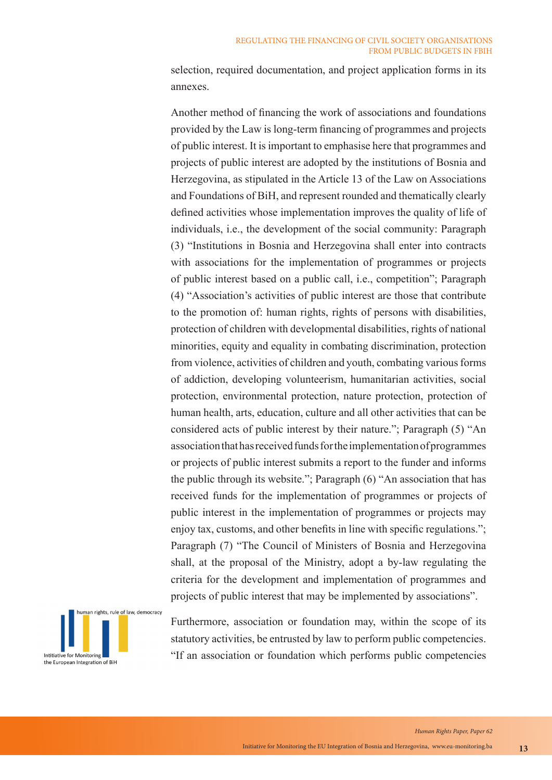selection, required documentation, and project application forms in its annexes.

Another method of financing the work of associations and foundations provided by the Law is long-term financing of programmes and projects of public interest. It is important to emphasise here that programmes and projects of public interest are adopted by the institutions of Bosnia and Herzegovina, as stipulated in the Article 13 of the Law on Associations and Foundations of BiH, and represent rounded and thematically clearly defined activities whose implementation improves the quality of life of individuals, i.e., the development of the social community: Paragraph (3) "Institutions in Bosnia and Herzegovina shall enter into contracts with associations for the implementation of programmes or projects of public interest based on a public call, i.e., competition"; Paragraph (4) "Association's activities of public interest are those that contribute to the promotion of: human rights, rights of persons with disabilities, protection of children with developmental disabilities, rights of national minorities, equity and equality in combating discrimination, protection from violence, activities of children and youth, combating various forms of addiction, developing volunteerism, humanitarian activities, social protection, environmental protection, nature protection, protection of human health, arts, education, culture and all other activities that can be considered acts of public interest by their nature."; Paragraph (5) "An association that has received funds for the implementation of programmes or projects of public interest submits a report to the funder and informs the public through its website."; Paragraph (6) "An association that has received funds for the implementation of programmes or projects of public interest in the implementation of programmes or projects may enjoy tax, customs, and other benefits in line with specific regulations."; Paragraph (7) "The Council of Ministers of Bosnia and Herzegovina shall, at the proposal of the Ministry, adopt a by-law regulating the criteria for the development and implementation of programmes and projects of public interest that may be implemented by associations".



Furthermore, association or foundation may, within the scope of its statutory activities, be entrusted by law to perform public competencies. "If an association or foundation which performs public competencies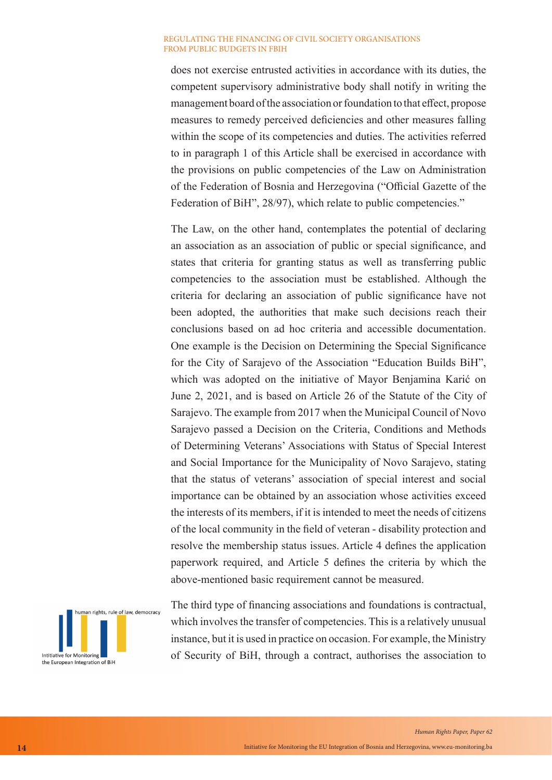does not exercise entrusted activities in accordance with its duties, the competent supervisory administrative body shall notify in writing the management board of the association or foundation to that effect, propose measures to remedy perceived deficiencies and other measures falling within the scope of its competencies and duties. The activities referred to in paragraph 1 of this Article shall be exercised in accordance with the provisions on public competencies of the Law on Administration of the Federation of Bosnia and Herzegovina ("Official Gazette of the Federation of BiH", 28/97), which relate to public competencies."

The Law, on the other hand, contemplates the potential of declaring an association as an association of public or special significance, and states that criteria for granting status as well as transferring public competencies to the association must be established. Although the criteria for declaring an association of public significance have not been adopted, the authorities that make such decisions reach their conclusions based on ad hoc criteria and accessible documentation. One example is the Decision on Determining the Special Significance for the City of Sarajevo of the Association "Education Builds BiH", which was adopted on the initiative of Mayor Benjamina Karić on June 2, 2021, and is based on Article 26 of the Statute of the City of Sarajevo. The example from 2017 when the Municipal Council of Novo Sarajevo passed a Decision on the Criteria, Conditions and Methods of Determining Veterans' Associations with Status of Special Interest and Social Importance for the Municipality of Novo Sarajevo, stating that the status of veterans' association of special interest and social importance can be obtained by an association whose activities exceed the interests of its members, if it is intended to meet the needs of citizens of the local community in the field of veteran - disability protection and resolve the membership status issues. Article 4 defines the application paperwork required, and Article 5 defines the criteria by which the above-mentioned basic requirement cannot be measured.



The third type of financing associations and foundations is contractual, which involves the transfer of competencies. This is a relatively unusual instance, but it is used in practice on occasion. For example, the Ministry of Security of BiH, through a contract, authorises the association to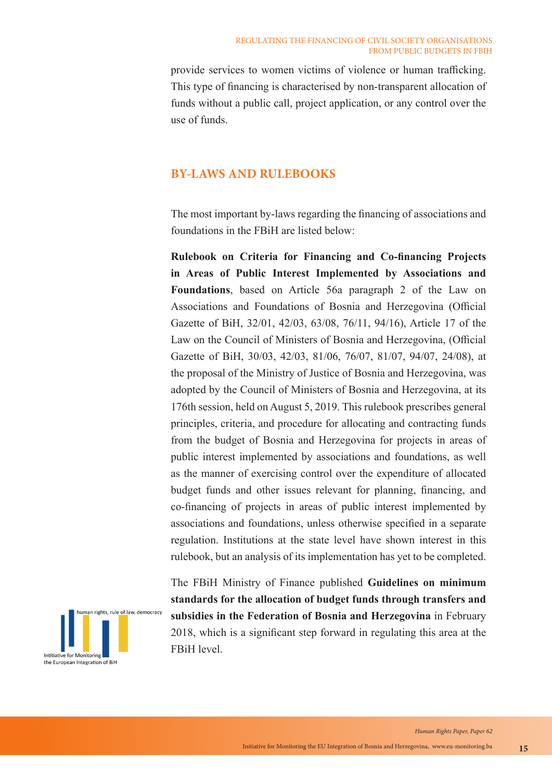provide services to women victims of violence or human trafficking. This type of financing is characterised by non-transparent allocation of funds without a public call, project application, or any control over the use of funds.

## **BY-LAWS AND RULEBOOKS**

The most important by-laws regarding the financing of associations and foundations in the FBiH are listed below:

**Rulebook on Criteria for Financing and Co-financing Projects in Areas of Public Interest Implemented by Associations and Foundations**, based on Article 56a paragraph 2 of the Law on Associations and Foundations of Bosnia and Herzegovina (Official Gazette of BiH, 32/01, 42/03, 63/08, 76/11, 94/16), Article 17 of the Law on the Council of Ministers of Bosnia and Herzegovina, (Official Gazette of BiH, 30/03, 42/03, 81/06, 76/07, 81/07, 94/07, 24/08), at the proposal of the Ministry of Justice of Bosnia and Herzegovina, was adopted by the Council of Ministers of Bosnia and Herzegovina, at its 176th session, held on August 5, 2019. This rulebook prescribes general principles, criteria, and procedure for allocating and contracting funds from the budget of Bosnia and Herzegovina for projects in areas of public interest implemented by associations and foundations, as well as the manner of exercising control over the expenditure of allocated budget funds and other issues relevant for planning, financing, and co-financing of projects in areas of public interest implemented by associations and foundations, unless otherwise specified in a separate regulation. Institutions at the state level have shown interest in this rulebook, but an analysis of its implementation has yet to be completed.



The FBiH Ministry of Finance published **Guidelines on minimum standards for the allocation of budget funds through transfers and subsidies in the Federation of Bosnia and Herzegovina** in February 2018, which is a significant step forward in regulating this area at the FBiH level.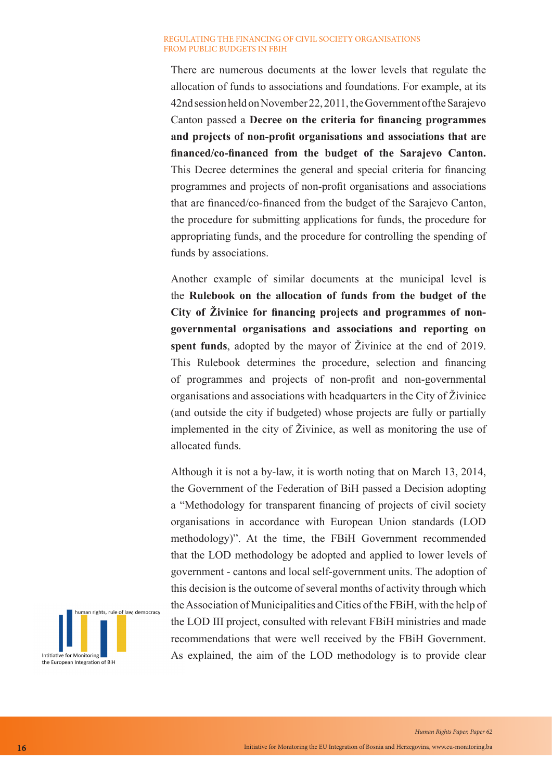There are numerous documents at the lower levels that regulate the allocation of funds to associations and foundations. For example, at its 42nd session held on November 22, 2011, the Government of the Sarajevo Canton passed a **Decree on the criteria for financing programmes and projects of non-profit organisations and associations that are financed/co-financed from the budget of the Sarajevo Canton.**  This Decree determines the general and special criteria for financing programmes and projects of non-profit organisations and associations that are financed/co-financed from the budget of the Sarajevo Canton, the procedure for submitting applications for funds, the procedure for appropriating funds, and the procedure for controlling the spending of funds by associations.

Another example of similar documents at the municipal level is the **Rulebook on the allocation of funds from the budget of the City of Živinice for financing projects and programmes of nongovernmental organisations and associations and reporting on spent funds**, adopted by the mayor of Živinice at the end of 2019. This Rulebook determines the procedure, selection and financing of programmes and projects of non-profit and non-governmental organisations and associations with headquarters in the City of Živinice (and outside the city if budgeted) whose projects are fully or partially implemented in the city of Živinice, as well as monitoring the use of allocated funds.

Although it is not a by-law, it is worth noting that on March 13, 2014, the Government of the Federation of BiH passed a Decision adopting a "Methodology for transparent financing of projects of civil society organisations in accordance with European Union standards (LOD methodology)". At the time, the FBiH Government recommended that the LOD methodology be adopted and applied to lower levels of government - cantons and local self-government units. The adoption of this decision is the outcome of several months of activity through which the Association of Municipalities and Cities of the FBiH, with the help of the LOD III project, consulted with relevant FBiH ministries and made recommendations that were well received by the FBiH Government. As explained, the aim of the LOD methodology is to provide clear

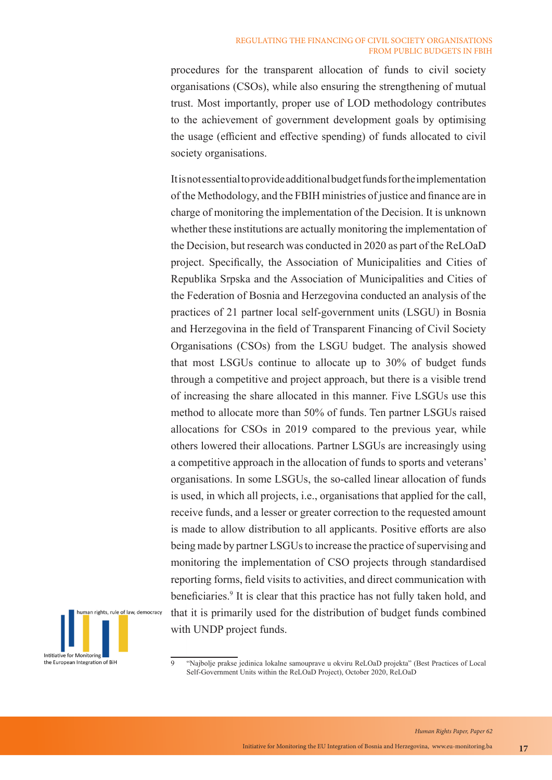procedures for the transparent allocation of funds to civil society organisations (CSOs), while also ensuring the strengthening of mutual trust. Most importantly, proper use of LOD methodology contributes to the achievement of government development goals by optimising the usage (efficient and effective spending) of funds allocated to civil society organisations.

It is not essential to provide additional budget funds for the implementation of the Methodology, and the FBIH ministries of justice and finance are in charge of monitoring the implementation of the Decision. It is unknown whether these institutions are actually monitoring the implementation of the Decision, but research was conducted in 2020 as part of the ReLOaD project. Specifically, the Association of Municipalities and Cities of Republika Srpska and the Association of Municipalities and Cities of the Federation of Bosnia and Herzegovina conducted an analysis of the practices of 21 partner local self-government units (LSGU) in Bosnia and Herzegovina in the field of Transparent Financing of Civil Society Organisations (CSOs) from the LSGU budget. The analysis showed that most LSGUs continue to allocate up to 30% of budget funds through a competitive and project approach, but there is a visible trend of increasing the share allocated in this manner. Five LSGUs use this method to allocate more than 50% of funds. Ten partner LSGUs raised allocations for CSOs in 2019 compared to the previous year, while others lowered their allocations. Partner LSGUs are increasingly using a competitive approach in the allocation of funds to sports and veterans' organisations. In some LSGUs, the so-called linear allocation of funds is used, in which all projects, i.e., organisations that applied for the call, receive funds, and a lesser or greater correction to the requested amount is made to allow distribution to all applicants. Positive efforts are also being made by partner LSGUs to increase the practice of supervising and monitoring the implementation of CSO projects through standardised reporting forms, field visits to activities, and direct communication with beneficiaries.<sup>9</sup> It is clear that this practice has not fully taken hold, and that it is primarily used for the distribution of budget funds combined with UNDP project funds.



<sup>&</sup>quot;Najbolje prakse jedinica lokalne samouprave u okviru ReLOaD projekta" (Best Practices of Local Self-Government Units within the ReLOaD Project), October 2020, ReLOaD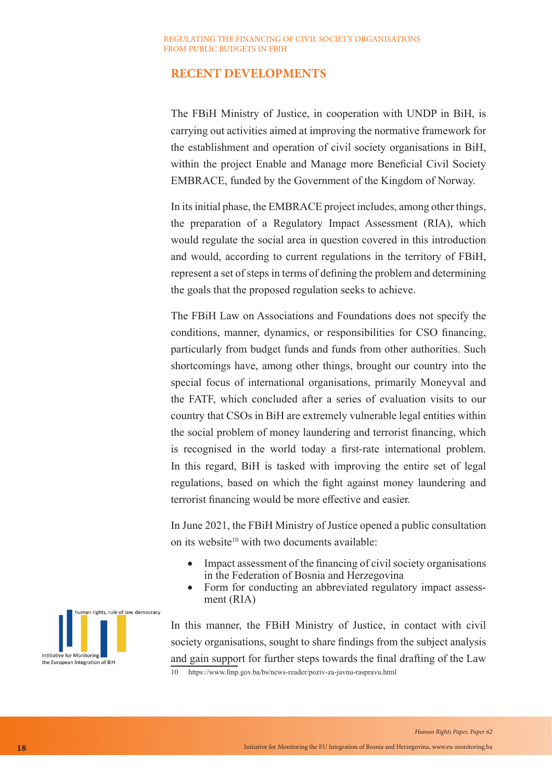## **RECENT DEVELOPMENTS**

The FBiH Ministry of Justice, in cooperation with UNDP in BiH, is carrying out activities aimed at improving the normative framework for the establishment and operation of civil society organisations in BiH, within the project Enable and Manage more Beneficial Civil Society EMBRACE, funded by the Government of the Kingdom of Norway.

In its initial phase, the EMBRACE project includes, among other things, the preparation of a Regulatory Impact Assessment (RIA), which would regulate the social area in question covered in this introduction and would, according to current regulations in the territory of FBiH, represent a set of steps in terms of defining the problem and determining the goals that the proposed regulation seeks to achieve.

The FBiH Law on Associations and Foundations does not specify the conditions, manner, dynamics, or responsibilities for CSO financing, particularly from budget funds and funds from other authorities. Such shortcomings have, among other things, brought our country into the special focus of international organisations, primarily Moneyval and the FATF, which concluded after a series of evaluation visits to our country that CSOs in BiH are extremely vulnerable legal entities within the social problem of money laundering and terrorist financing, which is recognised in the world today a first-rate international problem. In this regard, BiH is tasked with improving the entire set of legal regulations, based on which the fight against money laundering and terrorist financing would be more effective and easier.

In June 2021, the FBiH Ministry of Justice opened a public consultation on its website<sup>10</sup> with two documents available:

- Impact assessment of the financing of civil society organisations in the Federation of Bosnia and Herzegovina
- Form for conducting an abbreviated regulatory impact assessment (RIA)

In this manner, the FBiH Ministry of Justice, in contact with civil society organisations, sought to share findings from the subject analysis and gain support for further steps towards the final drafting of the Law 10 https://www.fmp.gov.ba/bs/news-reader/poziv-za-javnu-raspravu.html

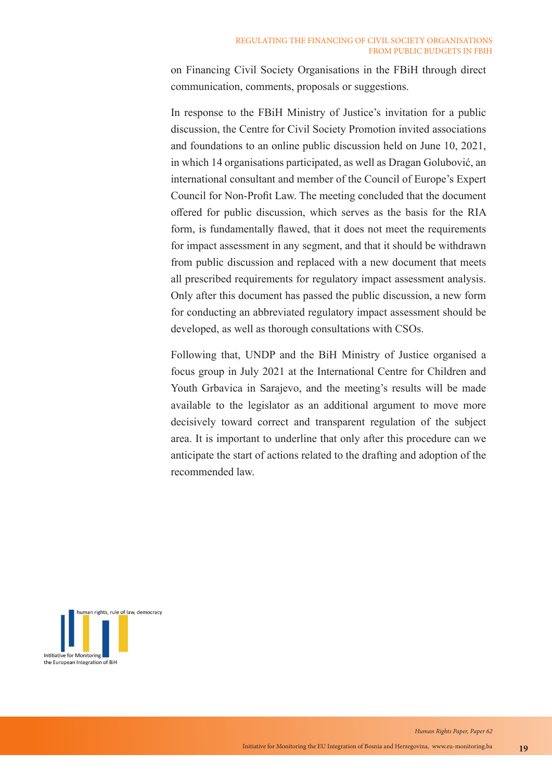on Financing Civil Society Organisations in the FBiH through direct communication, comments, proposals or suggestions.

In response to the FBiH Ministry of Justice's invitation for a public discussion, the Centre for Civil Society Promotion invited associations and foundations to an online public discussion held on June 10, 2021, in which 14 organisations participated, as well as Dragan Golubović, an international consultant and member of the Council of Europe's Expert Council for Non-Profit Law. The meeting concluded that the document offered for public discussion, which serves as the basis for the RIA form, is fundamentally flawed, that it does not meet the requirements for impact assessment in any segment, and that it should be withdrawn from public discussion and replaced with a new document that meets all prescribed requirements for regulatory impact assessment analysis. Only after this document has passed the public discussion, a new form for conducting an abbreviated regulatory impact assessment should be developed, as well as thorough consultations with CSOs.

Following that, UNDP and the BiH Ministry of Justice organised a focus group in July 2021 at the International Centre for Children and Youth Grbavica in Sarajevo, and the meeting's results will be made available to the legislator as an additional argument to move more decisively toward correct and transparent regulation of the subject area. It is important to underline that only after this procedure can we anticipate the start of actions related to the drafting and adoption of the recommended law.

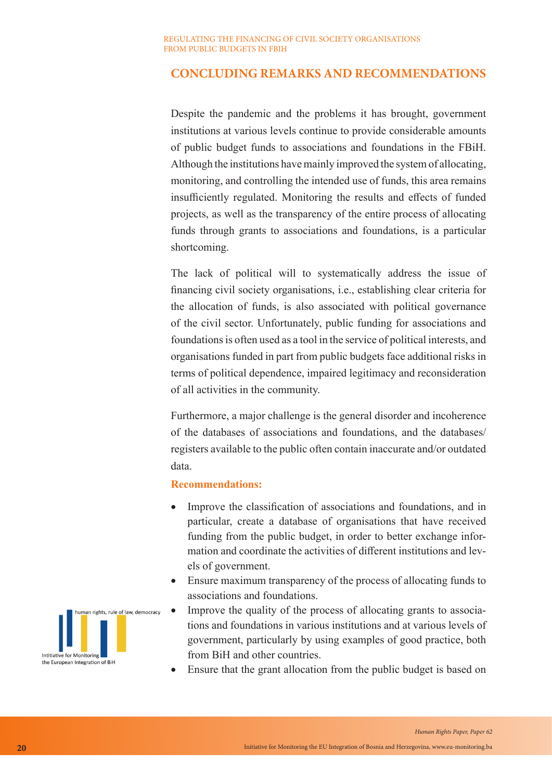## **CONCLUDING REMARKS AND RECOMMENDATIONS**

Despite the pandemic and the problems it has brought, government institutions at various levels continue to provide considerable amounts of public budget funds to associations and foundations in the FBiH. Although the institutions have mainly improved the system of allocating, monitoring, and controlling the intended use of funds, this area remains insufficiently regulated. Monitoring the results and effects of funded projects, as well as the transparency of the entire process of allocating funds through grants to associations and foundations, is a particular shortcoming.

The lack of political will to systematically address the issue of financing civil society organisations, i.e., establishing clear criteria for the allocation of funds, is also associated with political governance of the civil sector. Unfortunately, public funding for associations and foundations is often used as a tool in the service of political interests, and organisations funded in part from public budgets face additional risks in terms of political dependence, impaired legitimacy and reconsideration of all activities in the community.

Furthermore, a major challenge is the general disorder and incoherence of the databases of associations and foundations, and the databases/ registers available to the public often contain inaccurate and/or outdated data.

## **Recommendations:**

- Improve the classification of associations and foundations, and in particular, create a database of organisations that have received funding from the public budget, in order to better exchange information and coordinate the activities of different institutions and levels of government.
- Ensure maximum transparency of the process of allocating funds to associations and foundations.
- Improve the quality of the process of allocating grants to associations and foundations in various institutions and at various levels of government, particularly by using examples of good practice, both from BiH and other countries.
- Ensure that the grant allocation from the public budget is based on

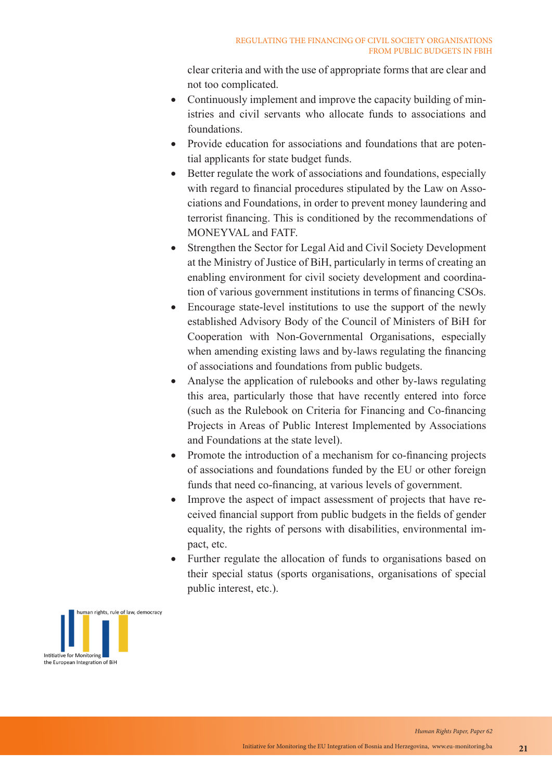clear criteria and with the use of appropriate forms that are clear and not too complicated.

- Continuously implement and improve the capacity building of ministries and civil servants who allocate funds to associations and foundations.
- Provide education for associations and foundations that are potential applicants for state budget funds.
- Better regulate the work of associations and foundations, especially with regard to financial procedures stipulated by the Law on Associations and Foundations, in order to prevent money laundering and terrorist financing. This is conditioned by the recommendations of MONEYVAL and FATF.
- Strengthen the Sector for Legal Aid and Civil Society Development at the Ministry of Justice of BiH, particularly in terms of creating an enabling environment for civil society development and coordination of various government institutions in terms of financing CSOs.
- Encourage state-level institutions to use the support of the newly established Advisory Body of the Council of Ministers of BiH for Cooperation with Non-Governmental Organisations, especially when amending existing laws and by-laws regulating the financing of associations and foundations from public budgets.
- Analyse the application of rulebooks and other by-laws regulating this area, particularly those that have recently entered into force (such as the Rulebook on Criteria for Financing and Co-financing Projects in Areas of Public Interest Implemented by Associations and Foundations at the state level).
- Promote the introduction of a mechanism for co-financing projects of associations and foundations funded by the EU or other foreign funds that need co-financing, at various levels of government.
- Improve the aspect of impact assessment of projects that have received financial support from public budgets in the fields of gender equality, the rights of persons with disabilities, environmental impact, etc.
- Further regulate the allocation of funds to organisations based on their special status (sports organisations, organisations of special public interest, etc.).

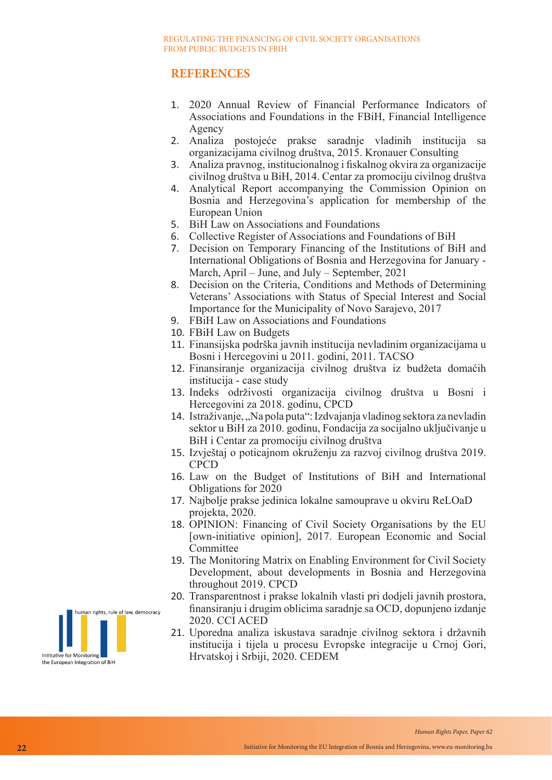## **REFERENCES**

- 1. 2020 Annual Review of Financial Performance Indicators of Associations and Foundations in the FBiH, Financial Intelligence Agency
- 2. Analiza postojeće prakse saradnje vladinih institucija sa organizacijama civilnog društva, 2015. Kronauer Consulting
- 3. Analiza pravnog, institucionalnog i fiskalnog okvira za organizacije civilnog društva u BiH, 2014. Centar za promociju civilnog društva
- 4. Analytical Report accompanying the Commission Opinion on Bosnia and Herzegovina's application for membership of the European Union
- 5. BiH Law on Associations and Foundations
- 6. Collective Register of Associations and Foundations of BiH
- 7. Decision on Temporary Financing of the Institutions of BiH and International Obligations of Bosnia and Herzegovina for January - March, April – June, and July – September, 2021
- 8. Decision on the Criteria, Conditions and Methods of Determining Veterans' Associations with Status of Special Interest and Social Importance for the Municipality of Novo Sarajevo, 2017
- 9. FBiH Law on Associations and Foundations
- 10. FBiH Law on Budgets
- 11. Finansijska podrška javnih institucija nevladinim organizacijama u Bosni i Hercegovini u 2011. godini, 2011. TACSO
- 12. Finansiranje organizacija civilnog društva iz budžeta domaćih institucija - case study
- 13. Indeks održivosti organizacija civilnog društva u Bosni i Hercegovini za 2018. godinu, CPCD
- 14. Istraživanje, "Na pola puta": Izdvajanja vladinog sektora za nevladin sektor u BiH za 2010. godinu, Fondacija za socijalno uključivanje u BiH i Centar za promociju civilnog društva
- 15. Izvještaj o poticajnom okruženju za razvoj civilnog društva 2019. CPCD
- 16. Law on the Budget of Institutions of BiH and International Obligations for 2020
- 17. Najbolje prakse jedinica lokalne samouprave u okviru ReLOaD projekta, 2020.
- 18. OPINION: Financing of Civil Society Organisations by the EU [own-initiative opinion], 2017. European Economic and Social Committee
- 19. The Monitoring Matrix on Enabling Environment for Civil Society Development, about developments in Bosnia and Herzegovina throughout 2019. CPCD
- 20. Transparentnost i prakse lokalnih vlasti pri dodjeli javnih prostora, finansiranju i drugim oblicima saradnje sa OCD, dopunjeno izdanje 2020. CCI ACED
- 21. Uporedna analiza iskustava saradnje civilnog sektora i državnih institucija i tijela u procesu Evropske integracije u Crnoj Gori, Hrvatskoj i Srbiji, 2020. CEDEM

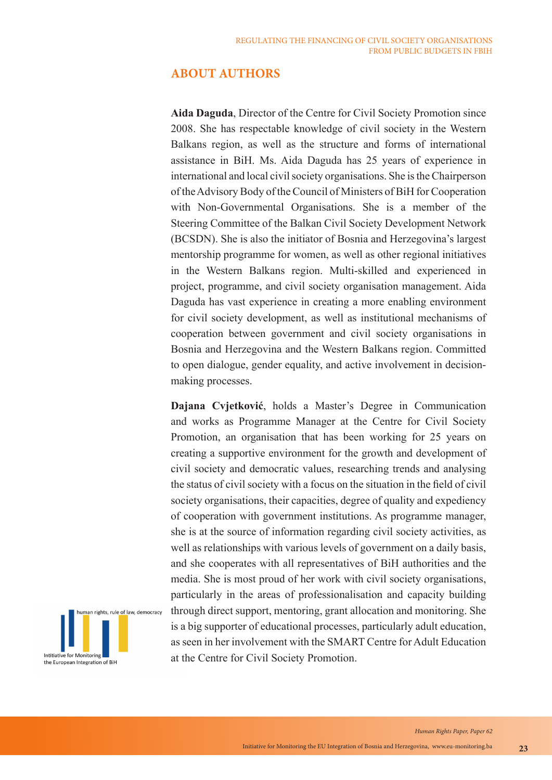## **ABOUT AUTHORS**

**Aida Daguda**, Director of the Centre for Civil Society Promotion since 2008. She has respectable knowledge of civil society in the Western Balkans region, as well as the structure and forms of international assistance in BiH. Ms. Aida Daguda has 25 years of experience in international and local civil society organisations. She is the Chairperson of the Advisory Body of the Council of Ministers of BiH for Cooperation with Non-Governmental Organisations. She is a member of the Steering Committee of the Balkan Civil Society Development Network (BCSDN). She is also the initiator of Bosnia and Herzegovina's largest mentorship programme for women, as well as other regional initiatives in the Western Balkans region. Multi-skilled and experienced in project, programme, and civil society organisation management. Aida Daguda has vast experience in creating a more enabling environment for civil society development, as well as institutional mechanisms of cooperation between government and civil society organisations in Bosnia and Herzegovina and the Western Balkans region. Committed to open dialogue, gender equality, and active involvement in decisionmaking processes.

**Dajana Cvjetković**, holds a Master's Degree in Communication and works as Programme Manager at the Centre for Civil Society Promotion, an organisation that has been working for 25 years on creating a supportive environment for the growth and development of civil society and democratic values, researching trends and analysing the status of civil society with a focus on the situation in the field of civil society organisations, their capacities, degree of quality and expediency of cooperation with government institutions. As programme manager, she is at the source of information regarding civil society activities, as well as relationships with various levels of government on a daily basis, and she cooperates with all representatives of BiH authorities and the media. She is most proud of her work with civil society organisations, particularly in the areas of professionalisation and capacity building through direct support, mentoring, grant allocation and monitoring. She is a big supporter of educational processes, particularly adult education, as seen in her involvement with the SMART Centre for Adult Education at the Centre for Civil Society Promotion.